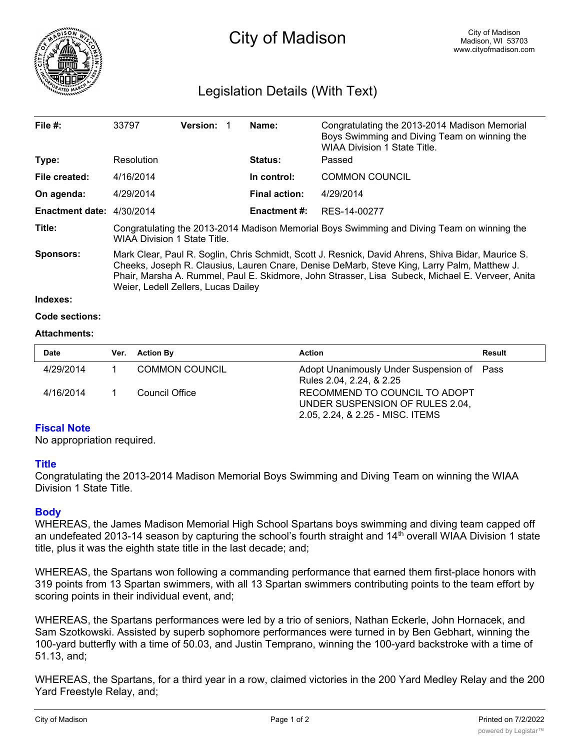

# Legislation Details (With Text)

| File $#$ :                  | 33797                                                                                                                                                                                                                                                                                                                                        | <b>Version:</b> |  | Name:                | Congratulating the 2013-2014 Madison Memorial<br>Boys Swimming and Diving Team on winning the<br><b>WIAA Division 1 State Title.</b> |  |  |
|-----------------------------|----------------------------------------------------------------------------------------------------------------------------------------------------------------------------------------------------------------------------------------------------------------------------------------------------------------------------------------------|-----------------|--|----------------------|--------------------------------------------------------------------------------------------------------------------------------------|--|--|
| Type:                       | Resolution                                                                                                                                                                                                                                                                                                                                   |                 |  | <b>Status:</b>       | Passed                                                                                                                               |  |  |
| File created:               | 4/16/2014                                                                                                                                                                                                                                                                                                                                    |                 |  | In control:          | <b>COMMON COUNCIL</b>                                                                                                                |  |  |
| On agenda:                  | 4/29/2014                                                                                                                                                                                                                                                                                                                                    |                 |  | <b>Final action:</b> | 4/29/2014                                                                                                                            |  |  |
| Enactment date: $4/30/2014$ |                                                                                                                                                                                                                                                                                                                                              |                 |  | Enactment #:         | RES-14-00277                                                                                                                         |  |  |
| Title:                      | Congratulating the 2013-2014 Madison Memorial Boys Swimming and Diving Team on winning the<br><b>WIAA Division 1 State Title.</b>                                                                                                                                                                                                            |                 |  |                      |                                                                                                                                      |  |  |
| <b>Sponsors:</b>            | Mark Clear, Paul R. Soglin, Chris Schmidt, Scott J. Resnick, David Ahrens, Shiva Bidar, Maurice S.<br>Cheeks, Joseph R. Clausius, Lauren Cnare, Denise DeMarb, Steve King, Larry Palm, Matthew J.<br>Phair, Marsha A. Rummel, Paul E. Skidmore, John Strasser, Lisa Subeck, Michael E. Verveer, Anita<br>Weier, Ledell Zellers, Lucas Dailey |                 |  |                      |                                                                                                                                      |  |  |
| Indexes:                    |                                                                                                                                                                                                                                                                                                                                              |                 |  |                      |                                                                                                                                      |  |  |

#### **Code sections:**

#### **Attachments:**

| <b>Date</b> | Ver. Action By        | <b>Action</b>                                                                                        | Result |
|-------------|-----------------------|------------------------------------------------------------------------------------------------------|--------|
| 4/29/2014   | <b>COMMON COUNCIL</b> | Adopt Unanimously Under Suspension of Pass<br>Rules 2.04, 2.24, & 2.25                               |        |
| 4/16/2014   | Council Office        | RECOMMEND TO COUNCIL TO ADOPT<br>UNDER SUSPENSION OF RULES 2.04,<br>2.05, 2.24, & 2.25 - MISC. ITEMS |        |

## **Fiscal Note**

No appropriation required.

## **Title**

Congratulating the 2013-2014 Madison Memorial Boys Swimming and Diving Team on winning the WIAA Division 1 State Title.

## **Body**

WHEREAS, the James Madison Memorial High School Spartans boys swimming and diving team capped off an undefeated 2013-14 season by capturing the school's fourth straight and 14<sup>th</sup> overall WIAA Division 1 state title, plus it was the eighth state title in the last decade; and;

WHEREAS, the Spartans won following a commanding performance that earned them first-place honors with 319 points from 13 Spartan swimmers, with all 13 Spartan swimmers contributing points to the team effort by scoring points in their individual event, and;

WHEREAS, the Spartans performances were led by a trio of seniors, Nathan Eckerle, John Hornacek, and Sam Szotkowski. Assisted by superb sophomore performances were turned in by Ben Gebhart, winning the 100-yard butterfly with a time of 50.03, and Justin Temprano, winning the 100-yard backstroke with a time of 51.13, and;

WHEREAS, the Spartans, for a third year in a row, claimed victories in the 200 Yard Medley Relay and the 200 Yard Freestyle Relay, and;